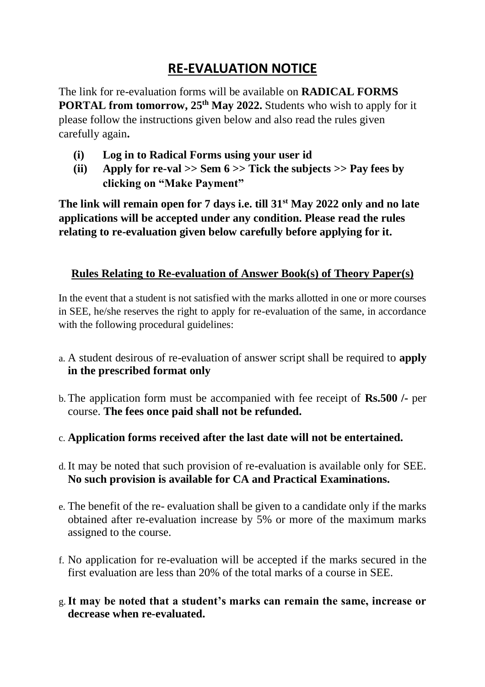## **RE-EVALUATION NOTICE**

The link for re-evaluation forms will be available on **RADICAL FORMS PORTAL from tomorrow, 25<sup>th</sup> May 2022.** Students who wish to apply for it please follow the instructions given below and also read the rules given carefully again**.**

- **(i) Log in to Radical Forms using your user id**
- **(ii) Apply for re-val >> Sem 6 >> Tick the subjects >> Pay fees by clicking on "Make Payment"**

**The link will remain open for 7 days i.e. till 31st May 2022 only and no late applications will be accepted under any condition. Please read the rules relating to re-evaluation given below carefully before applying for it.**

## **Rules Relating to Re-evaluation of Answer Book(s) of Theory Paper(s)**

In the event that a student is not satisfied with the marks allotted in one or more courses in SEE, he/she reserves the right to apply for re-evaluation of the same, in accordance with the following procedural guidelines:

- a. A student desirous of re-evaluation of answer script shall be required to **apply in the prescribed format only**
- b. The application form must be accompanied with fee receipt of **Rs.500 /-** per course. **The fees once paid shall not be refunded.**
- c. **Application forms received after the last date will not be entertained.**
- d.It may be noted that such provision of re-evaluation is available only for SEE. **No such provision is available for CA and Practical Examinations.**
- e. The benefit of the re- evaluation shall be given to a candidate only if the marks obtained after re-evaluation increase by 5% or more of the maximum marks assigned to the course.
- f. No application for re-evaluation will be accepted if the marks secured in the first evaluation are less than 20% of the total marks of a course in SEE.
- g.**It may be noted that a student's marks can remain the same, increase or decrease when re-evaluated.**